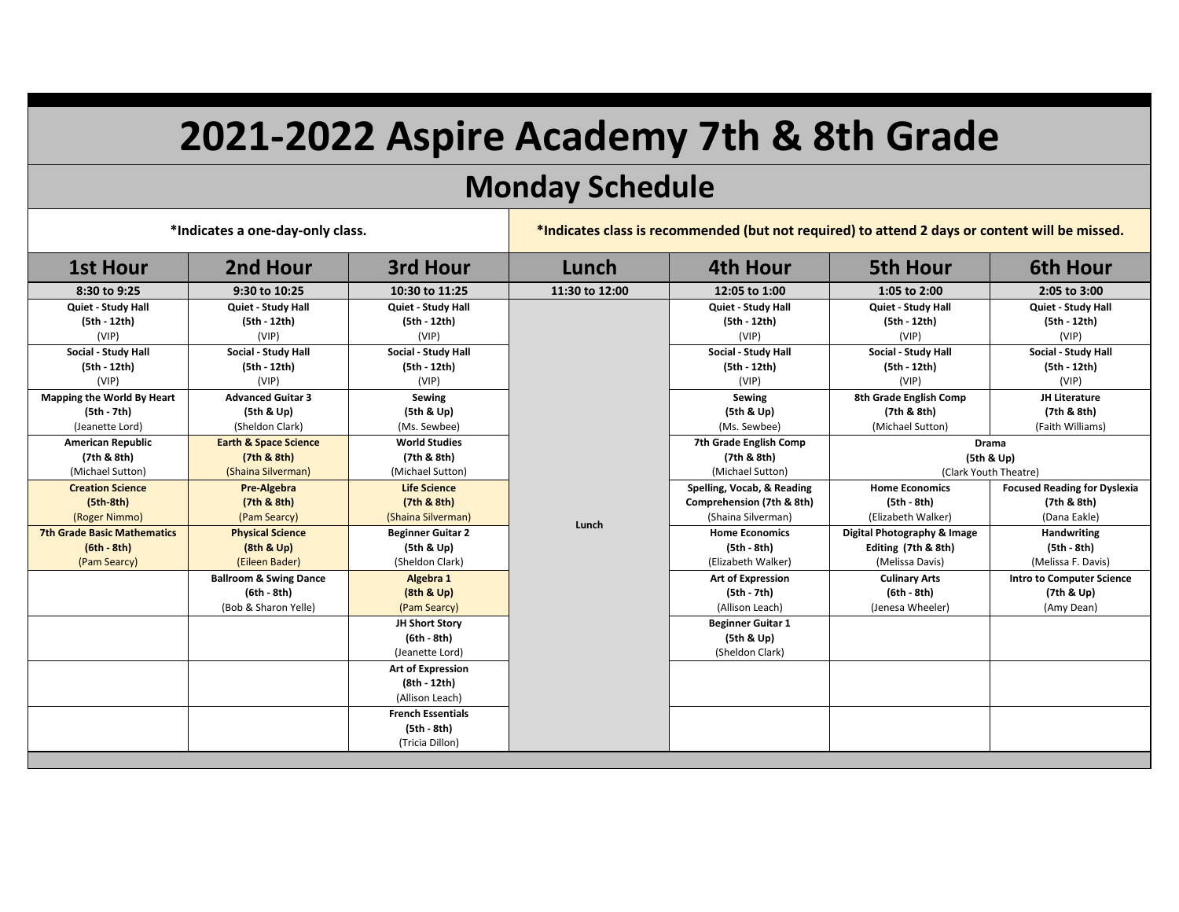## **2021-2022 Aspire Academy 7th & 8th Grade**

## **Monday Schedule**

**\*Indicates a one-day-only class. \*Indicates class is recommended (but not required) to attend 2 days or content will be missed.**

| <b>1st Hour</b>                    | 2nd Hour                          | 3rd Hour                 | Lunch          | <b>4th Hour</b>            | <b>5th Hour</b>             | <b>6th Hour</b>                     |
|------------------------------------|-----------------------------------|--------------------------|----------------|----------------------------|-----------------------------|-------------------------------------|
| 8:30 to 9:25                       | 9:30 to 10:25                     | 10:30 to 11:25           | 11:30 to 12:00 | 12:05 to 1:00              | 1:05 to 2:00                | 2:05 to 3:00                        |
| Quiet - Study Hall                 | Quiet - Study Hall                | Quiet - Study Hall       |                | Quiet - Study Hall         | Quiet - Study Hall          | Quiet - Study Hall                  |
| (5th - 12th)                       | (5th - 12th)                      | (5th - 12th)             |                | (5th - 12th)               | (5th - 12th)                | (5th - 12th)                        |
| (VIP)                              | (VIP)                             | (VIP)                    |                | (VIP)                      | (VIP)                       | (VIP)                               |
| Social - Study Hall                | Social - Study Hall               | Social - Study Hall      |                | Social - Study Hall        | Social - Study Hall         | Social - Study Hall                 |
| (5th - 12th)                       | (5th - 12th)                      | (5th - 12th)             |                | (5th - 12th)               | (5th - 12th)                | (5th - 12th)                        |
| (VIP)                              | (VIP)                             | (VIP)                    |                | (VIP)                      | (VIP)                       | (VIP)                               |
| Mapping the World By Heart         | <b>Advanced Guitar 3</b>          | <b>Sewing</b>            |                | Sewing                     | 8th Grade English Comp      | JH Literature                       |
| (5th - 7th)                        | (5th & Up)                        | (5th & Up)               |                | (5th & Up)                 | (7th & 8th)                 | (7th & 8th)                         |
| (Jeanette Lord)                    | (Sheldon Clark)                   | (Ms. Sewbee)             |                | (Ms. Sewbee)               | (Michael Sutton)            | (Faith Williams)                    |
| <b>American Republic</b>           | <b>Earth &amp; Space Science</b>  | <b>World Studies</b>     |                | 7th Grade English Comp     | Drama                       |                                     |
| (7th & 8th)                        | (7th & 8th)                       | (7th & 8th)              |                | (7th & 8th)                | (5th & Up)                  |                                     |
| (Michael Sutton)                   | (Shaina Silverman)                | (Michael Sutton)         |                | (Michael Sutton)           | (Clark Youth Theatre)       |                                     |
| <b>Creation Science</b>            | Pre-Algebra                       | <b>Life Science</b>      |                | Spelling, Vocab, & Reading | <b>Home Economics</b>       | <b>Focused Reading for Dyslexia</b> |
| $(5th-8th)$                        | (7th & 8th)                       | (7th & 8th)              |                | Comprehension (7th & 8th)  | (5th - 8th)                 | (7th & 8th)                         |
| (Roger Nimmo)                      | (Pam Searcy)                      | (Shaina Silverman)       | Lunch          | (Shaina Silverman)         | (Elizabeth Walker)          | (Dana Eakle)                        |
| <b>7th Grade Basic Mathematics</b> | <b>Physical Science</b>           | <b>Beginner Guitar 2</b> |                | <b>Home Economics</b>      | Digital Photography & Image | Handwriting                         |
| $(6th - 8th)$                      | (8th & Up)                        | (5th & Up)               |                | (5th - 8th)                | Editing (7th & 8th)         | (5th - 8th)                         |
| (Pam Searcy)                       | (Eileen Bader)                    | (Sheldon Clark)          |                | (Elizabeth Walker)         | (Melissa Davis)             | (Melissa F. Davis)                  |
|                                    | <b>Ballroom &amp; Swing Dance</b> | Algebra 1                |                | <b>Art of Expression</b>   | <b>Culinary Arts</b>        | <b>Intro to Computer Science</b>    |
|                                    | $(6th - 8th)$                     | (8th & Up)               |                | (5th - 7th)                | $(6th - 8th)$               | (7th & Up)                          |
|                                    | (Bob & Sharon Yelle)              | (Pam Searcy)             |                | (Allison Leach)            | (Jenesa Wheeler)            | (Amy Dean)                          |
|                                    |                                   | JH Short Story           |                | <b>Beginner Guitar 1</b>   |                             |                                     |
|                                    |                                   | (6th - 8th)              |                | (5th & Up)                 |                             |                                     |
|                                    |                                   | (Jeanette Lord)          |                | (Sheldon Clark)            |                             |                                     |
|                                    |                                   | Art of Expression        |                |                            |                             |                                     |
|                                    |                                   | (8th - 12th)             |                |                            |                             |                                     |
|                                    |                                   | (Allison Leach)          |                |                            |                             |                                     |
|                                    |                                   | <b>French Essentials</b> |                |                            |                             |                                     |
|                                    |                                   | (5th - 8th)              |                |                            |                             |                                     |
|                                    |                                   | (Tricia Dillon)          |                |                            |                             |                                     |
|                                    |                                   |                          |                |                            |                             |                                     |